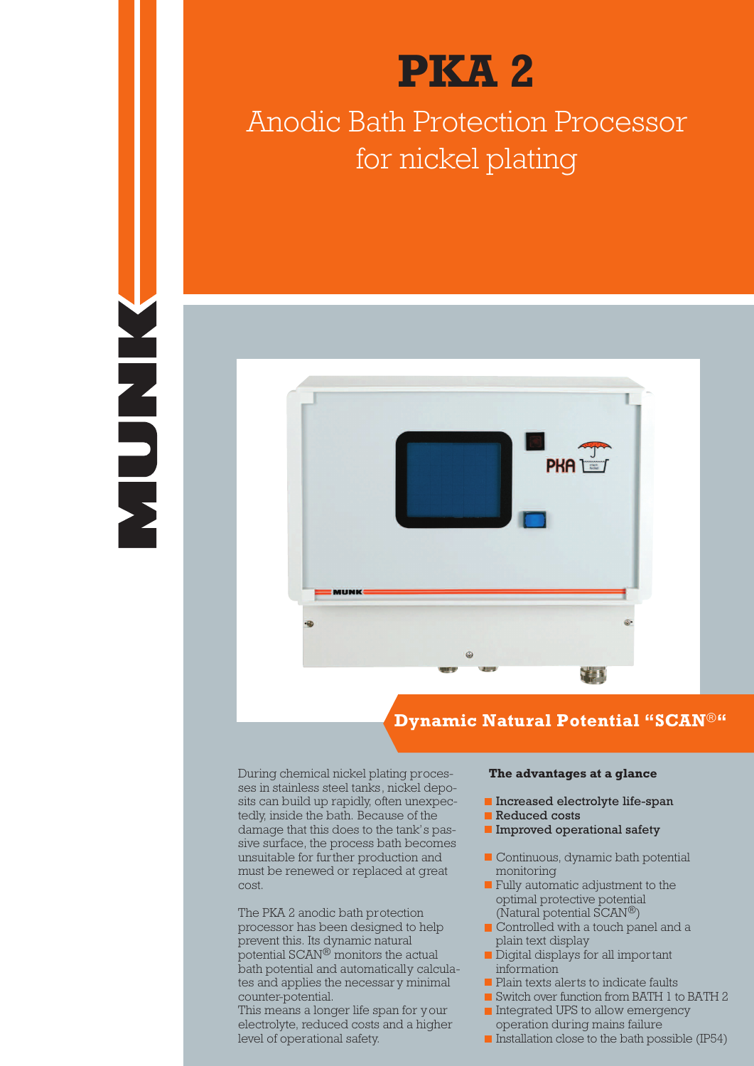



# Anodic Bath Protection Processor for nickel plating



### **Dynamic Natural Potential "SCAN**®**"**

During chemical nickel plating processes in stainless steel tanks, nickel deposits can build up rapidly, often unexpectedly, inside the bath. Because of the damage that this does to the tank's passive surface, the process bath becomes unsuitable for further production and must be renewed or replaced at great cost.

The PKA 2 anodic bath protection processor has been designed to help prevent this. Its dynamic natural potential SCAN® monitors the actual bath potential and automatically calculates and applies the necessary minimal counter-potential.

This means a longer life span for your electrolyte, reduced costs and a higher level of operational safety.

#### **The advantages at a glance**

- **Increased electrolyte life-span**
- Reduced costs
- **Improved operational safety**
- Continuous, dynamic bath potential monitoring
- **Fully automatic adjustment to the** optimal protective potential (Natural potential SCAN®)
- Controlled with a touch panel and a plain text display
- Digital displays for all important information
- Plain texts alerts to indicate faults
- Switch over function from BATH 1 to BATH 2
- Integrated UPS to allow emergency operation during mains failure
- $\blacksquare$  Installation close to the bath possible (IP54)